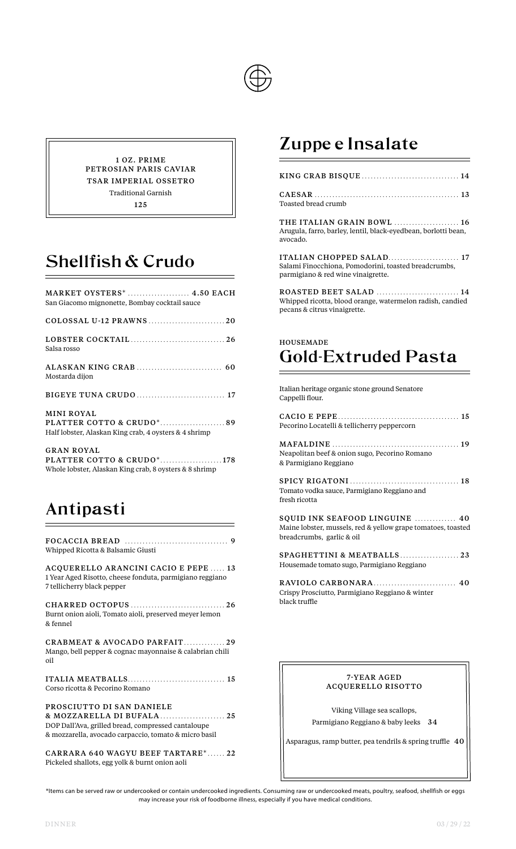

1 OZ . PRIME PETROSIAN PARIS CAVIAR TSAR IMPERIAL OSSETRO Traditional Garnish 125

# Shellfish & Crudo

| MARKET OYSTERS*  4.50 EACH<br>San Giacomo mignonette, Bombay cocktail sauce                              |
|----------------------------------------------------------------------------------------------------------|
| COLOSSAL U-12 PRAWNS20                                                                                   |
| Salsa rosso                                                                                              |
| Mostarda dijon                                                                                           |
| <b>BIGEYE TUNA CRUDO</b> 17                                                                              |
| <b>MINI ROYAL</b><br>PLATTER COTTO & CRUDO*89<br>Half lobster, Alaskan King crab, 4 oysters & 4 shrimp   |
| <b>GRAN ROYAL</b><br>PLATTER COTTO & CRUDO*178<br>Whole lobster, Alaskan King crab, 8 oysters & 8 shrimp |

# Antipasti

| Whipped Ricotta & Balsamic Giusti                                                                                                        |
|------------------------------------------------------------------------------------------------------------------------------------------|
| ACQUERELLO ARANCINI CACIO E PEPE  13<br>1 Year Aged Risotto, cheese fonduta, parmigiano reggiano<br>7 tellicherry black pepper           |
| CHARRED OCTOPUS  26<br>Burnt onion aioli, Tomato aioli, preserved meyer lemon<br>& fennel                                                |
| CRABMEAT & AVOCADO PARFAIT29<br>Mango, bell pepper & cognac mayonnaise & calabrian chili<br>oil                                          |
| Corso ricotta & Pecorino Romano                                                                                                          |
| PROSCIUTTO DI SAN DANIELE<br>DOP Dall'Ava, grilled bread, compressed cantaloupe<br>& mozzarella, avocado carpaccio, tomato & micro basil |
| CARRARA 640 WAGYU BEEF TARTARE* 22<br>Pickeled shallots, egg yolk & burnt onion aoli                                                     |

### Zuppe e Insalate

| CAESAR (1996) (13<br>Toasted bread crumb |  |
|------------------------------------------|--|

THE ITALIAN GRAIN BOWL ...................... 16 Arugula, farro, barley, lentil, black-eyedbean, borlotti bean, avocado.

ITALIAN CHOPPED SALAD........................ 17 Salami Finocchiona, Pomodorini, toasted breadcrumbs, parmigiano & red wine vinaigrette.

ROASTED BEET SALAD ............................ 14 Whipped ricotta, blood orange, watermelon radish, candied pecans & citrus vinaigrette.

#### HOUSEMADE Gold-Extruded Pasta

Italian heritage organic stone ground Senatore Cappelli flour.

| Pecorino Locatelli & tellicherry peppercorn                                                                                 |
|-----------------------------------------------------------------------------------------------------------------------------|
| Neapolitan beef & onion sugo, Pecorino Romano<br>& Parmigiano Reggiano                                                      |
| Tomato vodka sauce, Parmigiano Reggiano and<br>fresh ricotta                                                                |
| SQUID INK SEAFOOD LINGUINE  40<br>Maine lobster, mussels, red & yellow grape tomatoes, toasted<br>breadcrumbs, garlic & oil |
| SPAGHETTINI & MEATBALLS 23<br>Housemade tomato sugo, Parmigiano Reggiano                                                    |
|                                                                                                                             |

Crispy Prosciutto, Parmigiano Reggiano & winter black truffle

#### 7-YEAR AGED ACQUERELLO RISOTTO

Viking Village sea scallops, Parmigiano Reggiano & baby leeks 34

Asparagus, ramp butter, pea tendrils & spring truffle 40

\*Items can be served raw or undercooked or contain undercooked ingredients. Consuming raw or undercooked meats, poultry, seafood, shellfish or eggs may increase your risk of foodborne illness, especially if you have medical conditions.